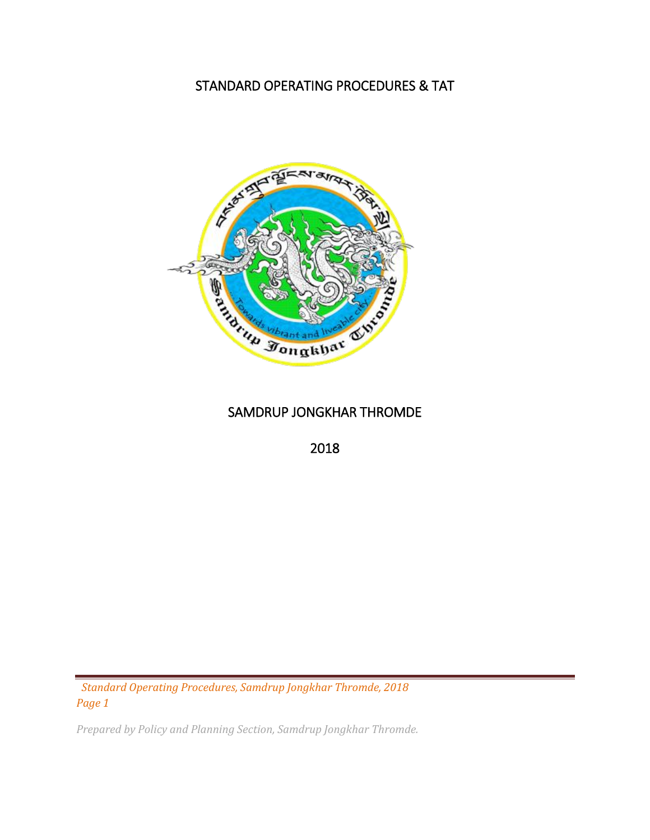## STANDARD OPERATING PROCEDURES & TAT



## SAMDRUP JONGKHAR THROMDE

2018

 *Standard Operating Procedures, Samdrup Jongkhar Thromde, 2018 Page 1*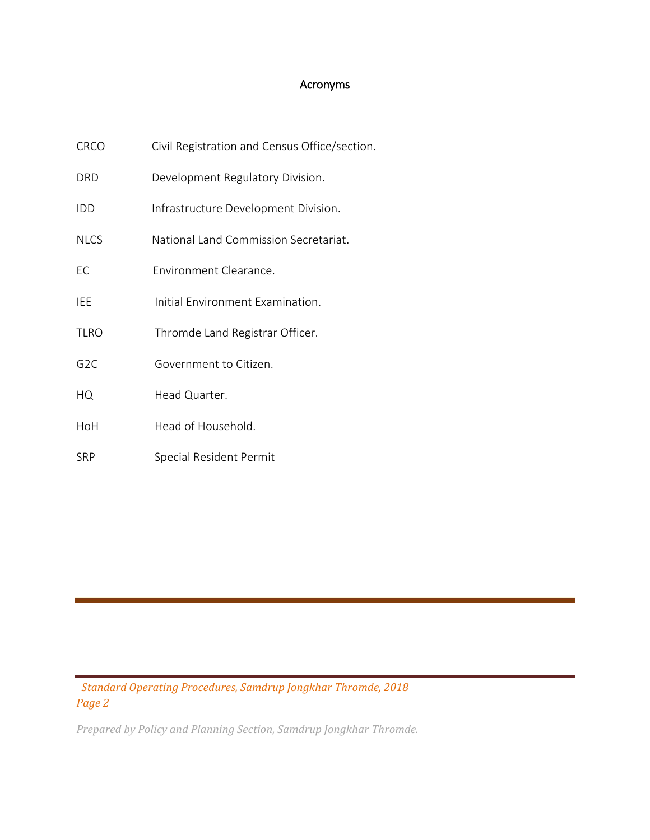## Acronyms

| <b>CRCO</b>      | Civil Registration and Census Office/section. |
|------------------|-----------------------------------------------|
| DRD              | Development Regulatory Division.              |
| <b>IDD</b>       | Infrastructure Development Division.          |
| <b>NLCS</b>      | National Land Commission Secretariat.         |
| EC               | Environment Clearance.                        |
| <b>IEE</b>       | Initial Environment Examination.              |
| <b>TLRO</b>      | Thromde Land Registrar Officer.               |
| G <sub>2</sub> C | Government to Citizen.                        |
| HQ               | Head Quarter.                                 |
| HoH              | Head of Household.                            |
| <b>SRP</b>       | Special Resident Permit                       |

 *Standard Operating Procedures, Samdrup Jongkhar Thromde, 2018 Page 2*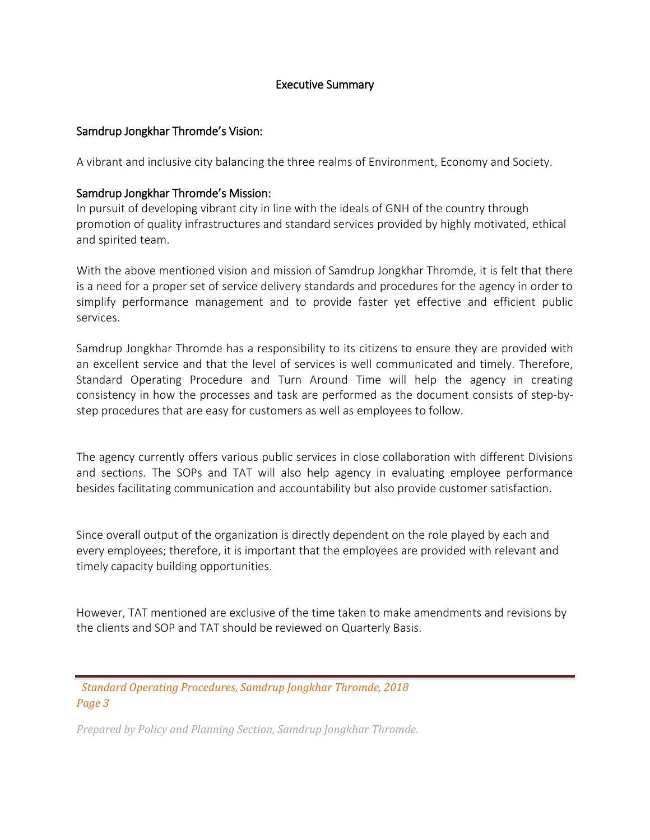#### Executive Summary

#### Samdrup Jongkhar Thromde's Vision:

A vibrant and inclusive city balancing the three realms of Environment, Economy and Society.

#### Samdrup Jongkhar Thromde's Mission:

In pursuit of developing vibrant city in line with the ideals of GNH of the country through promotion of quality infrastructures and standard services provided by highly motivated, ethical and spirited team.

With the above mentioned vision and mission of Samdrup Jongkhar Thromde, it is felt that there is a need for a proper set of service delivery standards and procedures for the agency in order to simplify performance management and to provide faster yet effective and efficient public services.

Samdrup Jongkhar Thromde has a responsibility to its citizens to ensure they are provided with an excellent service and that the level of services is well communicated and timely. Therefore, Standard Operating Procedure and Turn Around Time will help the agency in creating consistency in how the processes and task are performed as the document consists of step-bystep procedures that are easy for customers as well as employees to follow.

The agency currently offers various public services in close collaboration with different Divisions and sections. The SOPs and TAT will also help agency in evaluating employee performance besides facilitating communication and accountability but also provide customer satisfaction.

Since overall output of the organization is directly dependent on the role played by each and every employees; therefore, it is important that the employees are provided with relevant and timely capacity building opportunities.

However, TAT mentioned are exclusive of the time taken to make amendments and revisions by the clients and SOP and TAT should be reviewed on Quarterly Basis.

 *Standard Operating Procedures, Samdrup Jongkhar Thromde, 2018 Page 3*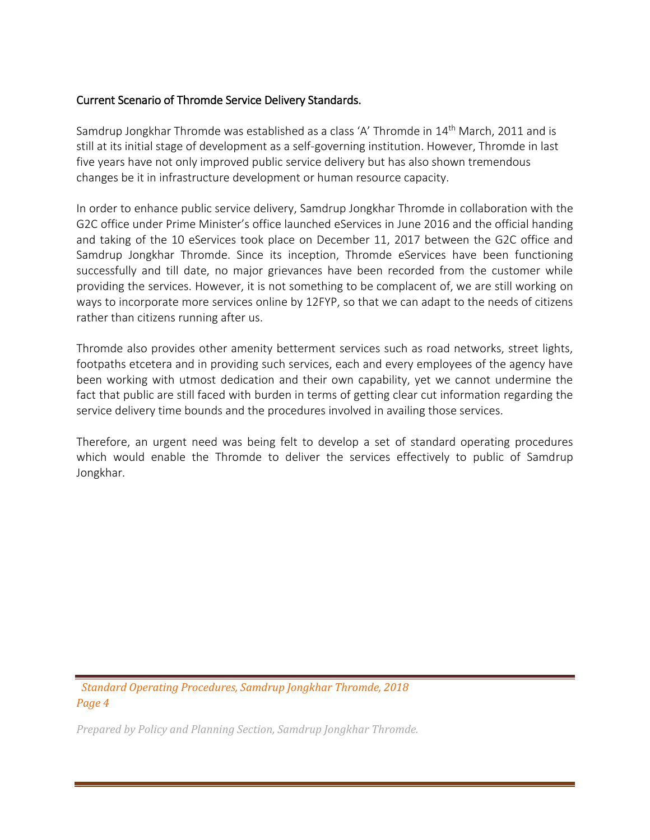#### Current Scenario of Thromde Service Delivery Standards.

Samdrup Jongkhar Thromde was established as a class 'A' Thromde in 14<sup>th</sup> March, 2011 and is still at its initial stage of development as a self-governing institution. However, Thromde in last five years have not only improved public service delivery but has also shown tremendous changes be it in infrastructure development or human resource capacity.

In order to enhance public service delivery, Samdrup Jongkhar Thromde in collaboration with the G2C office under Prime Minister's office launched eServices in June 2016 and the official handing and taking of the 10 eServices took place on December 11, 2017 between the G2C office and Samdrup Jongkhar Thromde. Since its inception, Thromde eServices have been functioning successfully and till date, no major grievances have been recorded from the customer while providing the services. However, it is not something to be complacent of, we are still working on ways to incorporate more services online by 12FYP, so that we can adapt to the needs of citizens rather than citizens running after us.

Thromde also provides other amenity betterment services such as road networks, street lights, footpaths etcetera and in providing such services, each and every employees of the agency have been working with utmost dedication and their own capability, yet we cannot undermine the fact that public are still faced with burden in terms of getting clear cut information regarding the service delivery time bounds and the procedures involved in availing those services.

Therefore, an urgent need was being felt to develop a set of standard operating procedures which would enable the Thromde to deliver the services effectively to public of Samdrup Jongkhar.

 *Standard Operating Procedures, Samdrup Jongkhar Thromde, 2018 Page 4*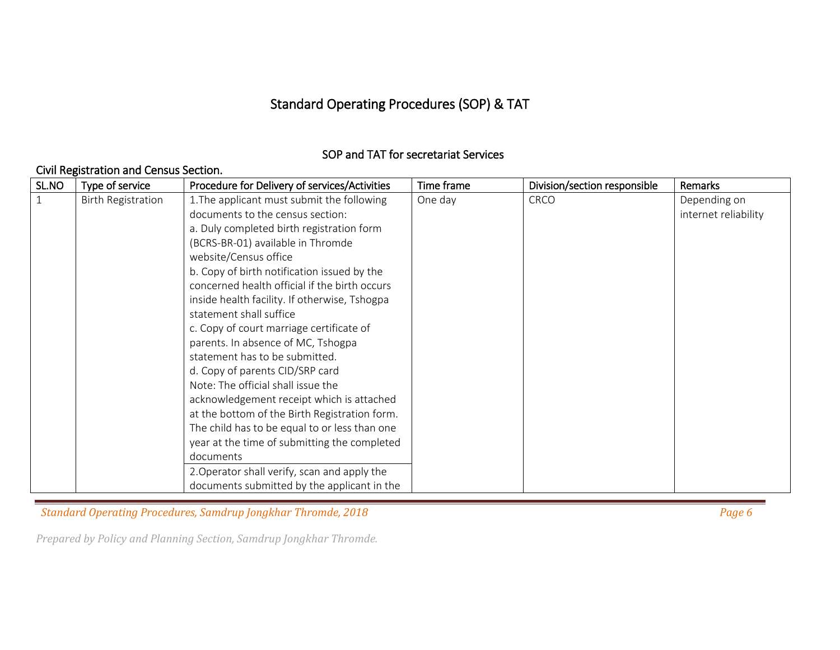# Standard Operating Procedures (SOP) & TAT

### SOP and TAT for secretariat Services

#### Civil Registration and Census Section.

| SL.NO        | Type of service           | Procedure for Delivery of services/Activities | Time frame | Division/section responsible | Remarks              |
|--------------|---------------------------|-----------------------------------------------|------------|------------------------------|----------------------|
| $\mathbf{1}$ | <b>Birth Registration</b> | 1. The applicant must submit the following    | One day    | <b>CRCO</b>                  | Depending on         |
|              |                           | documents to the census section:              |            |                              | internet reliability |
|              |                           | a. Duly completed birth registration form     |            |                              |                      |
|              |                           | (BCRS-BR-01) available in Thromde             |            |                              |                      |
|              |                           | website/Census office                         |            |                              |                      |
|              |                           | b. Copy of birth notification issued by the   |            |                              |                      |
|              |                           | concerned health official if the birth occurs |            |                              |                      |
|              |                           | inside health facility. If otherwise, Tshogpa |            |                              |                      |
|              |                           | statement shall suffice                       |            |                              |                      |
|              |                           | c. Copy of court marriage certificate of      |            |                              |                      |
|              |                           | parents. In absence of MC, Tshogpa            |            |                              |                      |
|              |                           | statement has to be submitted.                |            |                              |                      |
|              |                           | d. Copy of parents CID/SRP card               |            |                              |                      |
|              |                           | Note: The official shall issue the            |            |                              |                      |
|              |                           | acknowledgement receipt which is attached     |            |                              |                      |
|              |                           | at the bottom of the Birth Registration form. |            |                              |                      |
|              |                           | The child has to be equal to or less than one |            |                              |                      |
|              |                           | year at the time of submitting the completed  |            |                              |                      |
|              |                           | documents                                     |            |                              |                      |
|              |                           | 2. Operator shall verify, scan and apply the  |            |                              |                      |
|              |                           | documents submitted by the applicant in the   |            |                              |                      |

*Standard Operating Procedures, Samdrup Jongkhar Thromde, 2018 Page 6 Page 6 Page 6 Page 6 Page 6 Page 6 Page 6 Page 6 Page 6 Page 6 Page 6 Page 6 Page 6 Page 6 Page 6 Page 8 Page 6 Page*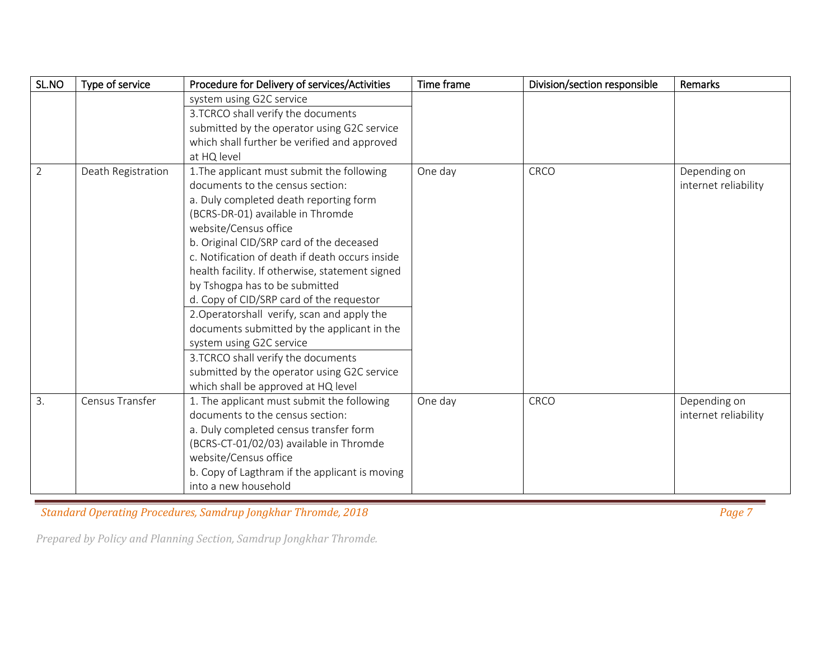| SL.NO          | Type of service    | Procedure for Delivery of services/Activities   | Time frame | Division/section responsible | Remarks              |
|----------------|--------------------|-------------------------------------------------|------------|------------------------------|----------------------|
|                |                    | system using G2C service                        |            |                              |                      |
|                |                    | 3.TCRCO shall verify the documents              |            |                              |                      |
|                |                    | submitted by the operator using G2C service     |            |                              |                      |
|                |                    | which shall further be verified and approved    |            |                              |                      |
|                |                    | at HQ level                                     |            |                              |                      |
| $\overline{2}$ | Death Registration | 1. The applicant must submit the following      | One day    | CRCO                         | Depending on         |
|                |                    | documents to the census section:                |            |                              | internet reliability |
|                |                    | a. Duly completed death reporting form          |            |                              |                      |
|                |                    | (BCRS-DR-01) available in Thromde               |            |                              |                      |
|                |                    | website/Census office                           |            |                              |                      |
|                |                    | b. Original CID/SRP card of the deceased        |            |                              |                      |
|                |                    | c. Notification of death if death occurs inside |            |                              |                      |
|                |                    | health facility. If otherwise, statement signed |            |                              |                      |
|                |                    | by Tshogpa has to be submitted                  |            |                              |                      |
|                |                    | d. Copy of CID/SRP card of the requestor        |            |                              |                      |
|                |                    | 2. Operatorshall verify, scan and apply the     |            |                              |                      |
|                |                    | documents submitted by the applicant in the     |            |                              |                      |
|                |                    | system using G2C service                        |            |                              |                      |
|                |                    | 3.TCRCO shall verify the documents              |            |                              |                      |
|                |                    | submitted by the operator using G2C service     |            |                              |                      |
|                |                    | which shall be approved at HQ level             |            |                              |                      |
| 3.             | Census Transfer    | 1. The applicant must submit the following      | One day    | CRCO                         | Depending on         |
|                |                    | documents to the census section:                |            |                              | internet reliability |
|                |                    | a. Duly completed census transfer form          |            |                              |                      |
|                |                    | (BCRS-CT-01/02/03) available in Thromde         |            |                              |                      |
|                |                    | website/Census office                           |            |                              |                      |
|                |                    | b. Copy of Lagthram if the applicant is moving  |            |                              |                      |
|                |                    | into a new household                            |            |                              |                      |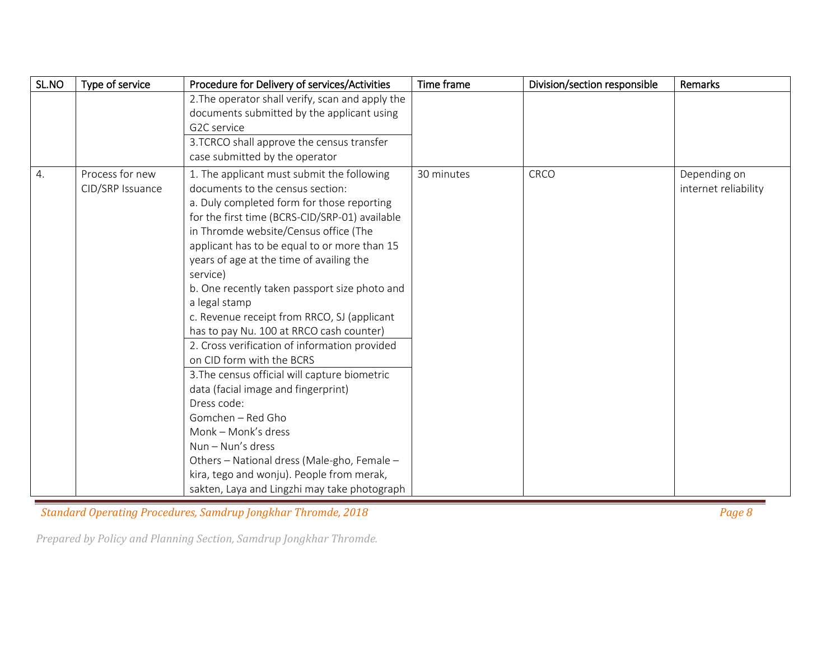| SL.NO | Type of service  | Procedure for Delivery of services/Activities    | Time frame | Division/section responsible | Remarks              |
|-------|------------------|--------------------------------------------------|------------|------------------------------|----------------------|
|       |                  | 2. The operator shall verify, scan and apply the |            |                              |                      |
|       |                  | documents submitted by the applicant using       |            |                              |                      |
|       |                  | G2C service                                      |            |                              |                      |
|       |                  | 3.TCRCO shall approve the census transfer        |            |                              |                      |
|       |                  | case submitted by the operator                   |            |                              |                      |
| 4.    | Process for new  | 1. The applicant must submit the following       | 30 minutes | CRCO                         | Depending on         |
|       | CID/SRP Issuance | documents to the census section:                 |            |                              | internet reliability |
|       |                  | a. Duly completed form for those reporting       |            |                              |                      |
|       |                  | for the first time (BCRS-CID/SRP-01) available   |            |                              |                      |
|       |                  | in Thromde website/Census office (The            |            |                              |                      |
|       |                  | applicant has to be equal to or more than 15     |            |                              |                      |
|       |                  | years of age at the time of availing the         |            |                              |                      |
|       |                  | service)                                         |            |                              |                      |
|       |                  | b. One recently taken passport size photo and    |            |                              |                      |
|       |                  | a legal stamp                                    |            |                              |                      |
|       |                  | c. Revenue receipt from RRCO, SJ (applicant      |            |                              |                      |
|       |                  | has to pay Nu. 100 at RRCO cash counter)         |            |                              |                      |
|       |                  | 2. Cross verification of information provided    |            |                              |                      |
|       |                  | on CID form with the BCRS                        |            |                              |                      |
|       |                  | 3. The census official will capture biometric    |            |                              |                      |
|       |                  | data (facial image and fingerprint)              |            |                              |                      |
|       |                  | Dress code:                                      |            |                              |                      |
|       |                  | Gomchen - Red Gho                                |            |                              |                      |
|       |                  | Monk - Monk's dress                              |            |                              |                      |
|       |                  | $Num - Nun's dress$                              |            |                              |                      |
|       |                  | Others - National dress (Male-gho, Female -      |            |                              |                      |
|       |                  | kira, tego and wonju). People from merak,        |            |                              |                      |
|       |                  | sakten, Laya and Lingzhi may take photograph     |            |                              |                      |

*Condard Operating Procedures, Samdrup Jongkhar Thromde, 2018* **Page 8** *Page 8**Page 8**Page 8**Page 8**Page 8**Page 8**Page 8**Page 8**Page 8**Page 8**Page 8**Page 8**Page 8**Page 8**Page 8**Page 8**Page 8*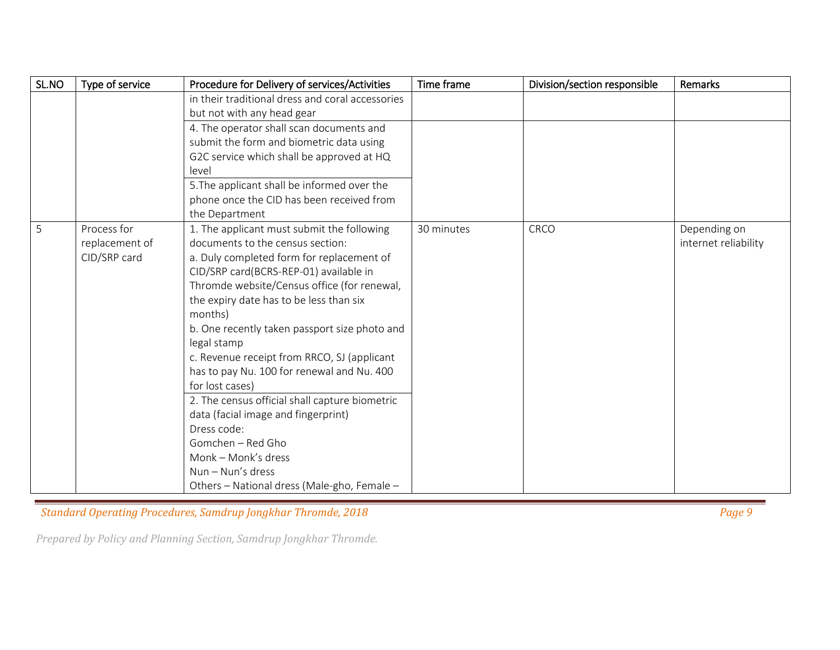| SL.NO | Type of service | Procedure for Delivery of services/Activities    | Time frame | Division/section responsible | Remarks              |
|-------|-----------------|--------------------------------------------------|------------|------------------------------|----------------------|
|       |                 | in their traditional dress and coral accessories |            |                              |                      |
|       |                 | but not with any head gear                       |            |                              |                      |
|       |                 | 4. The operator shall scan documents and         |            |                              |                      |
|       |                 | submit the form and biometric data using         |            |                              |                      |
|       |                 | G2C service which shall be approved at HQ        |            |                              |                      |
|       |                 | level                                            |            |                              |                      |
|       |                 | 5. The applicant shall be informed over the      |            |                              |                      |
|       |                 | phone once the CID has been received from        |            |                              |                      |
|       |                 | the Department                                   |            |                              |                      |
| 5     | Process for     | 1. The applicant must submit the following       | 30 minutes | CRCO                         | Depending on         |
|       | replacement of  | documents to the census section:                 |            |                              | internet reliability |
|       | CID/SRP card    | a. Duly completed form for replacement of        |            |                              |                      |
|       |                 | CID/SRP card(BCRS-REP-01) available in           |            |                              |                      |
|       |                 | Thromde website/Census office (for renewal,      |            |                              |                      |
|       |                 | the expiry date has to be less than six          |            |                              |                      |
|       |                 | months)                                          |            |                              |                      |
|       |                 | b. One recently taken passport size photo and    |            |                              |                      |
|       |                 | legal stamp                                      |            |                              |                      |
|       |                 | c. Revenue receipt from RRCO, SJ (applicant      |            |                              |                      |
|       |                 | has to pay Nu. 100 for renewal and Nu. 400       |            |                              |                      |
|       |                 | for lost cases)                                  |            |                              |                      |
|       |                 | 2. The census official shall capture biometric   |            |                              |                      |
|       |                 | data (facial image and fingerprint)              |            |                              |                      |
|       |                 | Dress code:                                      |            |                              |                      |
|       |                 | Gomchen - Red Gho                                |            |                              |                      |
|       |                 | Monk - Monk's dress                              |            |                              |                      |
|       |                 | $Num - Nun's dress$                              |            |                              |                      |
|       |                 | Others - National dress (Male-gho, Female -      |            |                              |                      |

*Standard Operating Procedures, Samdrup Jongkhar Thromde, 2018* **Page 9 <b>Page 9** *Page 9 Page 9 Page 9 Page 9 Page 9 Page 9 Page 9 Page 9 Page 9 Page 9 Page 9 Page 9 Page 9 Page 9 Page 9 Page*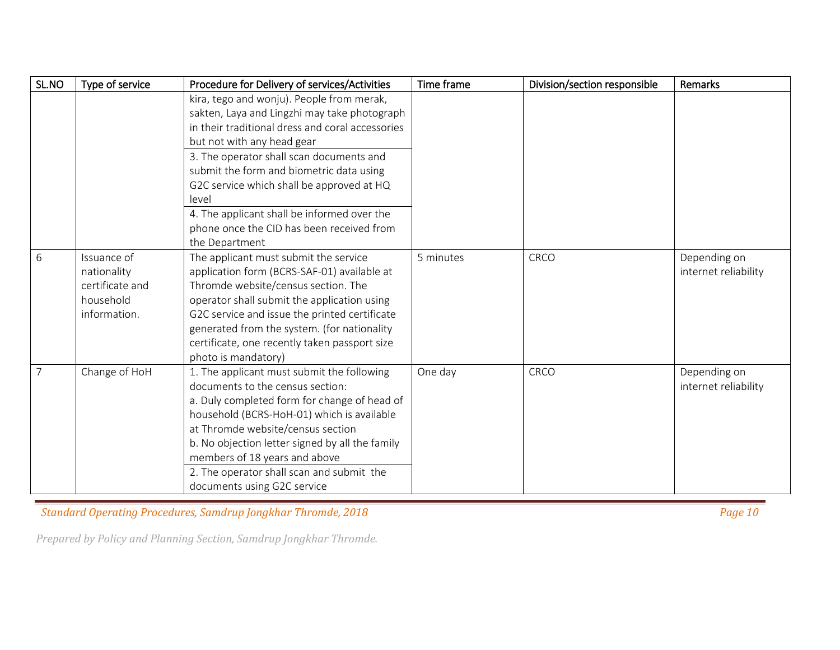| SL.NO | Type of service                                                            | Procedure for Delivery of services/Activities                                                                                                                                                                                                                                                                                                                                     | Time frame | Division/section responsible | <b>Remarks</b>                       |
|-------|----------------------------------------------------------------------------|-----------------------------------------------------------------------------------------------------------------------------------------------------------------------------------------------------------------------------------------------------------------------------------------------------------------------------------------------------------------------------------|------------|------------------------------|--------------------------------------|
|       |                                                                            | kira, tego and wonju). People from merak,<br>sakten, Laya and Lingzhi may take photograph<br>in their traditional dress and coral accessories<br>but not with any head gear<br>3. The operator shall scan documents and<br>submit the form and biometric data using<br>G2C service which shall be approved at HQ<br>level                                                         |            |                              |                                      |
|       |                                                                            | 4. The applicant shall be informed over the<br>phone once the CID has been received from<br>the Department                                                                                                                                                                                                                                                                        |            |                              |                                      |
| 6     | Issuance of<br>nationality<br>certificate and<br>household<br>information. | The applicant must submit the service<br>application form (BCRS-SAF-01) available at<br>Thromde website/census section. The<br>operator shall submit the application using<br>G2C service and issue the printed certificate<br>generated from the system. (for nationality<br>certificate, one recently taken passport size<br>photo is mandatory)                                | 5 minutes  | CRCO                         | Depending on<br>internet reliability |
| 7     | Change of HoH                                                              | 1. The applicant must submit the following<br>documents to the census section:<br>a. Duly completed form for change of head of<br>household (BCRS-HoH-01) which is available<br>at Thromde website/census section<br>b. No objection letter signed by all the family<br>members of 18 years and above<br>2. The operator shall scan and submit the<br>documents using G2C service | One day    | CRCO                         | Depending on<br>internet reliability |

*Condard Operating Procedures, Samdrup Jongkhar Thromde, 2018* **Page 10 <b>Page 10 Page 10 Page 10 Page 10 Page 10**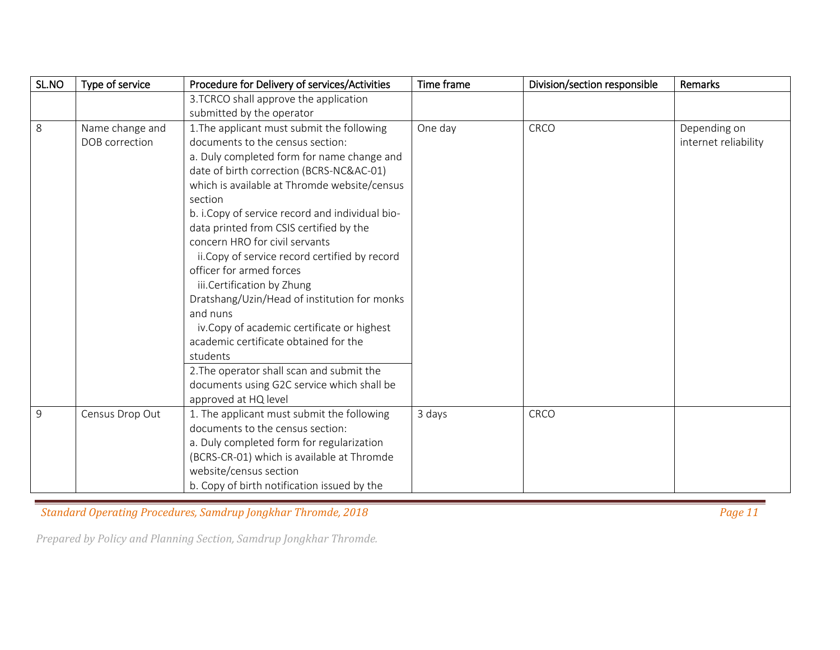| SL.NO | Type of service | Procedure for Delivery of services/Activities    | Time frame | Division/section responsible | Remarks              |
|-------|-----------------|--------------------------------------------------|------------|------------------------------|----------------------|
|       |                 | 3.TCRCO shall approve the application            |            |                              |                      |
|       |                 | submitted by the operator                        |            |                              |                      |
| 8     | Name change and | 1. The applicant must submit the following       | One day    | CRCO                         | Depending on         |
|       | DOB correction  | documents to the census section:                 |            |                              | internet reliability |
|       |                 | a. Duly completed form for name change and       |            |                              |                      |
|       |                 | date of birth correction (BCRS-NC&AC-01)         |            |                              |                      |
|       |                 | which is available at Thromde website/census     |            |                              |                      |
|       |                 | section                                          |            |                              |                      |
|       |                 | b. i. Copy of service record and individual bio- |            |                              |                      |
|       |                 | data printed from CSIS certified by the          |            |                              |                      |
|       |                 | concern HRO for civil servants                   |            |                              |                      |
|       |                 | ii. Copy of service record certified by record   |            |                              |                      |
|       |                 | officer for armed forces                         |            |                              |                      |
|       |                 | iii.Certification by Zhung                       |            |                              |                      |
|       |                 | Dratshang/Uzin/Head of institution for monks     |            |                              |                      |
|       |                 | and nuns                                         |            |                              |                      |
|       |                 | iv.Copy of academic certificate or highest       |            |                              |                      |
|       |                 | academic certificate obtained for the            |            |                              |                      |
|       |                 | students                                         |            |                              |                      |
|       |                 | 2. The operator shall scan and submit the        |            |                              |                      |
|       |                 | documents using G2C service which shall be       |            |                              |                      |
|       |                 | approved at HQ level                             |            |                              |                      |
| 9     | Census Drop Out | 1. The applicant must submit the following       | 3 days     | CRCO                         |                      |
|       |                 | documents to the census section:                 |            |                              |                      |
|       |                 | a. Duly completed form for regularization        |            |                              |                      |
|       |                 | (BCRS-CR-01) which is available at Thromde       |            |                              |                      |
|       |                 | website/census section                           |            |                              |                      |
|       |                 | b. Copy of birth notification issued by the      |            |                              |                      |

*Condard Operating Procedures, Samdrup Jongkhar Thromde, 2018* **Page 11** *Page 11**Page 11*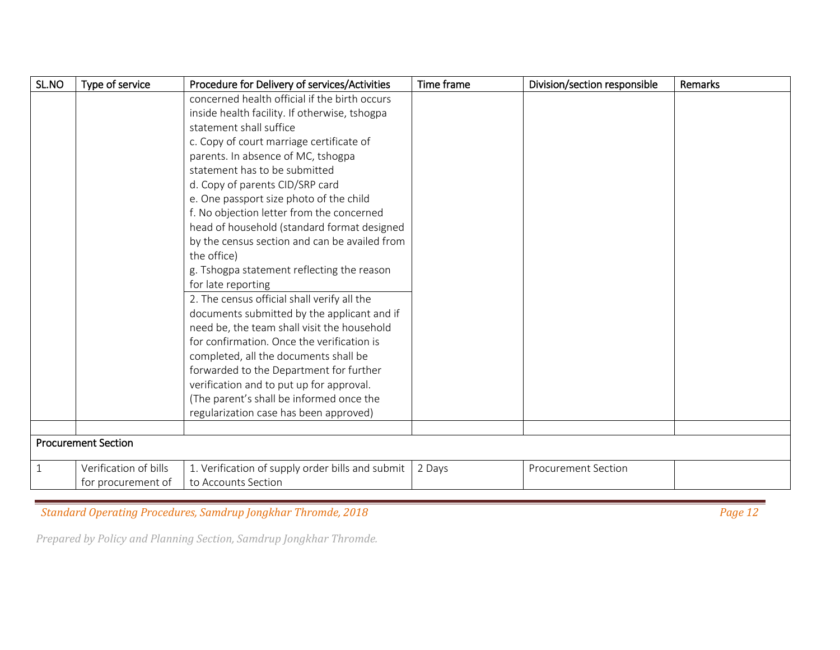| SL.NO        | Type of service            | Procedure for Delivery of services/Activities    | Time frame | Division/section responsible | Remarks |
|--------------|----------------------------|--------------------------------------------------|------------|------------------------------|---------|
|              |                            | concerned health official if the birth occurs    |            |                              |         |
|              |                            | inside health facility. If otherwise, tshogpa    |            |                              |         |
|              |                            | statement shall suffice                          |            |                              |         |
|              |                            | c. Copy of court marriage certificate of         |            |                              |         |
|              |                            | parents. In absence of MC, tshogpa               |            |                              |         |
|              |                            | statement has to be submitted                    |            |                              |         |
|              |                            | d. Copy of parents CID/SRP card                  |            |                              |         |
|              |                            | e. One passport size photo of the child          |            |                              |         |
|              |                            | f. No objection letter from the concerned        |            |                              |         |
|              |                            | head of household (standard format designed      |            |                              |         |
|              |                            | by the census section and can be availed from    |            |                              |         |
|              |                            | the office)                                      |            |                              |         |
|              |                            | g. Tshogpa statement reflecting the reason       |            |                              |         |
|              |                            | for late reporting                               |            |                              |         |
|              |                            | 2. The census official shall verify all the      |            |                              |         |
|              |                            | documents submitted by the applicant and if      |            |                              |         |
|              |                            | need be, the team shall visit the household      |            |                              |         |
|              |                            | for confirmation. Once the verification is       |            |                              |         |
|              |                            | completed, all the documents shall be            |            |                              |         |
|              |                            | forwarded to the Department for further          |            |                              |         |
|              |                            | verification and to put up for approval.         |            |                              |         |
|              |                            | (The parent's shall be informed once the         |            |                              |         |
|              |                            | regularization case has been approved)           |            |                              |         |
|              |                            |                                                  |            |                              |         |
|              | <b>Procurement Section</b> |                                                  |            |                              |         |
| $\mathbf{1}$ | Verification of bills      | 1. Verification of supply order bills and submit | 2 Days     | <b>Procurement Section</b>   |         |
|              | for procurement of         | to Accounts Section                              |            |                              |         |

*Condard Operating Procedures, Samdrup Jongkhar Thromde, 2018* **Page 12** *Page 12* **Page 12 <b>Page 12 Page 12 Page 12 Page 12 Page 12 Page 12 Page 12 Page 12 Page 12 Page 12 Page 12 Page 12 Page 12 P**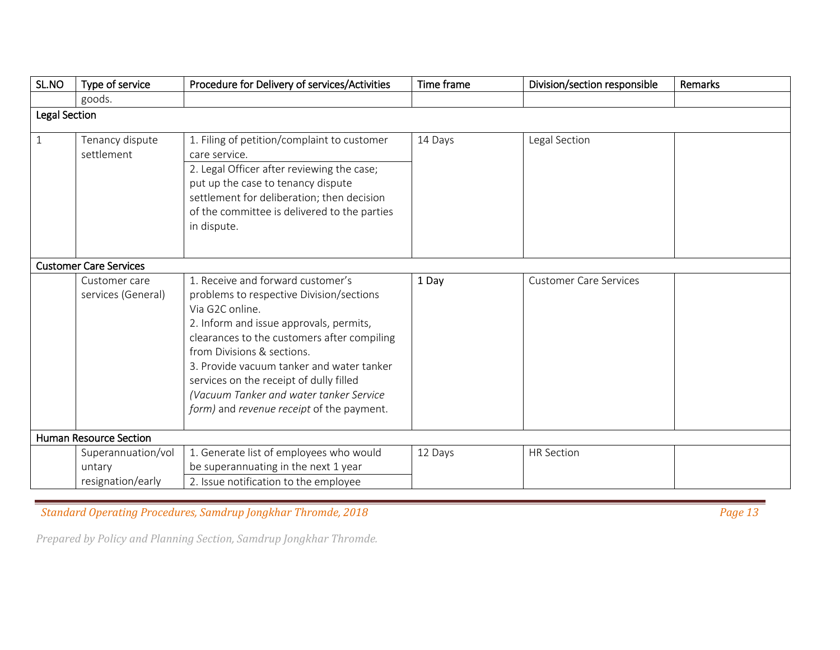| SL.NO                | Type of service                                   | Procedure for Delivery of services/Activities                                                                                                                                                                                                                                                                                                                                                            | Time frame | Division/section responsible  | Remarks |
|----------------------|---------------------------------------------------|----------------------------------------------------------------------------------------------------------------------------------------------------------------------------------------------------------------------------------------------------------------------------------------------------------------------------------------------------------------------------------------------------------|------------|-------------------------------|---------|
|                      | goods.                                            |                                                                                                                                                                                                                                                                                                                                                                                                          |            |                               |         |
| <b>Legal Section</b> |                                                   |                                                                                                                                                                                                                                                                                                                                                                                                          |            |                               |         |
| $\mathbf{1}$         | Tenancy dispute<br>settlement                     | 1. Filing of petition/complaint to customer<br>care service.<br>2. Legal Officer after reviewing the case;<br>put up the case to tenancy dispute<br>settlement for deliberation; then decision<br>of the committee is delivered to the parties<br>in dispute.                                                                                                                                            | 14 Days    | Legal Section                 |         |
|                      | <b>Customer Care Services</b>                     |                                                                                                                                                                                                                                                                                                                                                                                                          |            |                               |         |
|                      | Customer care<br>services (General)               | 1. Receive and forward customer's<br>problems to respective Division/sections<br>Via G2C online.<br>2. Inform and issue approvals, permits,<br>clearances to the customers after compiling<br>from Divisions & sections.<br>3. Provide vacuum tanker and water tanker<br>services on the receipt of dully filled<br>(Vacuum Tanker and water tanker Service<br>form) and revenue receipt of the payment. | 1 Day      | <b>Customer Care Services</b> |         |
|                      | <b>Human Resource Section</b>                     |                                                                                                                                                                                                                                                                                                                                                                                                          |            |                               |         |
|                      | Superannuation/vol<br>untary<br>resignation/early | 1. Generate list of employees who would<br>be superannuating in the next 1 year<br>2. Issue notification to the employee                                                                                                                                                                                                                                                                                 | 12 Days    | <b>HR Section</b>             |         |

*Condard Operating Procedures, Samdrup Jongkhar Thromde, 2018* **Page 13** *Page 13* **Page 13**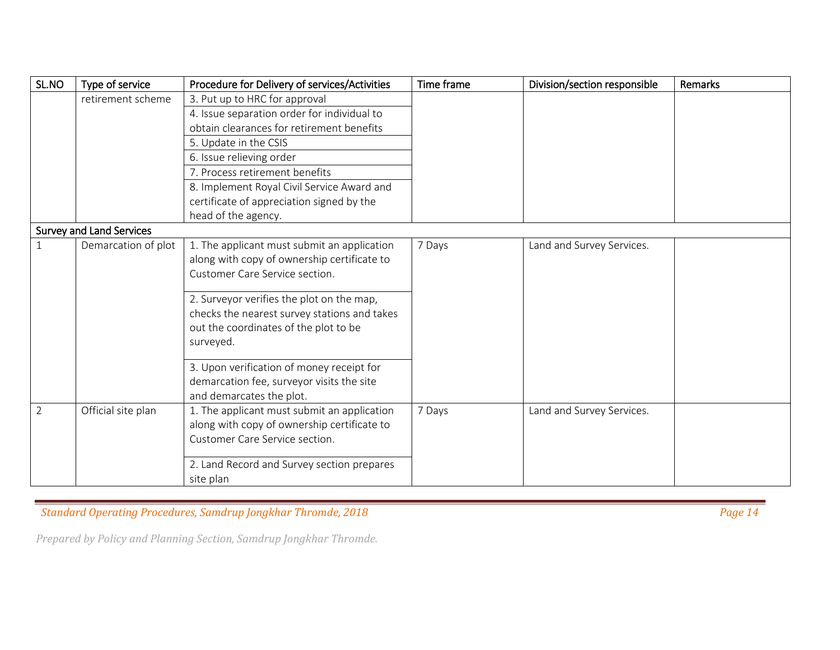| SL.NO          | Type of service                 | Procedure for Delivery of services/Activities | Time frame | Division/section responsible | Remarks |
|----------------|---------------------------------|-----------------------------------------------|------------|------------------------------|---------|
|                | retirement scheme               | 3. Put up to HRC for approval                 |            |                              |         |
|                |                                 | 4. Issue separation order for individual to   |            |                              |         |
|                |                                 | obtain clearances for retirement benefits     |            |                              |         |
|                |                                 | 5. Update in the CSIS                         |            |                              |         |
|                |                                 | 6. Issue relieving order                      |            |                              |         |
|                |                                 | 7. Process retirement benefits                |            |                              |         |
|                |                                 | 8. Implement Royal Civil Service Award and    |            |                              |         |
|                |                                 | certificate of appreciation signed by the     |            |                              |         |
|                |                                 | head of the agency.                           |            |                              |         |
|                | <b>Survey and Land Services</b> |                                               |            |                              |         |
| 1              | Demarcation of plot             | 1. The applicant must submit an application   | 7 Days     | Land and Survey Services.    |         |
|                |                                 | along with copy of ownership certificate to   |            |                              |         |
|                |                                 | Customer Care Service section.                |            |                              |         |
|                |                                 | 2. Surveyor verifies the plot on the map,     |            |                              |         |
|                |                                 | checks the nearest survey stations and takes  |            |                              |         |
|                |                                 | out the coordinates of the plot to be         |            |                              |         |
|                |                                 | surveyed.                                     |            |                              |         |
|                |                                 |                                               |            |                              |         |
|                |                                 | 3. Upon verification of money receipt for     |            |                              |         |
|                |                                 | demarcation fee, surveyor visits the site     |            |                              |         |
|                |                                 | and demarcates the plot.                      |            |                              |         |
| $\overline{2}$ | Official site plan              | 1. The applicant must submit an application   | 7 Days     | Land and Survey Services.    |         |
|                |                                 | along with copy of ownership certificate to   |            |                              |         |
|                |                                 | Customer Care Service section.                |            |                              |         |
|                |                                 | 2. Land Record and Survey section prepares    |            |                              |         |
|                |                                 |                                               |            |                              |         |
|                |                                 | site plan                                     |            |                              |         |

*Condard Operating Procedures, Samdrup Jongkhar Thromde, 2018* **Page 14** *Page 14**Page 14**Page 14**Page 14**Page 14**Page 14**Page 14**Page 14**Page 14**Page 14**Page 14**Page 14**Page 14**Page 14**Page 14*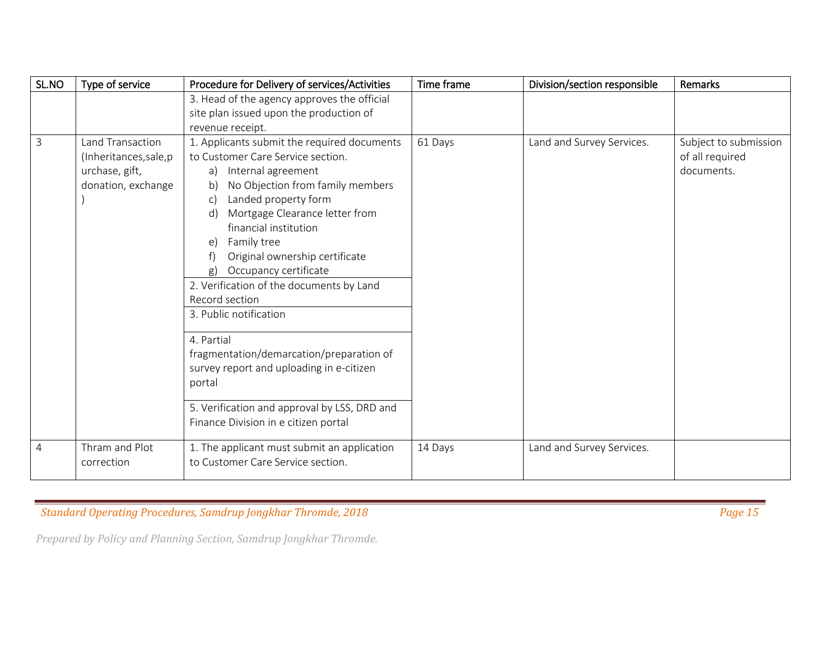| SL.NO          | Type of service                                                                    | Procedure for Delivery of services/Activities                                                                                                                                                                                                                                                                                                                                                                                                                                                                                                                                                    | Time frame | Division/section responsible | Remarks                                                |
|----------------|------------------------------------------------------------------------------------|--------------------------------------------------------------------------------------------------------------------------------------------------------------------------------------------------------------------------------------------------------------------------------------------------------------------------------------------------------------------------------------------------------------------------------------------------------------------------------------------------------------------------------------------------------------------------------------------------|------------|------------------------------|--------------------------------------------------------|
|                |                                                                                    | 3. Head of the agency approves the official                                                                                                                                                                                                                                                                                                                                                                                                                                                                                                                                                      |            |                              |                                                        |
|                |                                                                                    | site plan issued upon the production of                                                                                                                                                                                                                                                                                                                                                                                                                                                                                                                                                          |            |                              |                                                        |
|                |                                                                                    | revenue receipt.                                                                                                                                                                                                                                                                                                                                                                                                                                                                                                                                                                                 |            |                              |                                                        |
| $\overline{3}$ | Land Transaction<br>(Inheritances, sale, p<br>urchase, gift,<br>donation, exchange | 1. Applicants submit the required documents<br>to Customer Care Service section.<br>a) Internal agreement<br>No Objection from family members<br>b)<br>Landed property form<br>C)<br>Mortgage Clearance letter from<br>d)<br>financial institution<br>Family tree<br>e)<br>Original ownership certificate<br>Occupancy certificate<br>g)<br>2. Verification of the documents by Land<br>Record section<br>3. Public notification<br>4. Partial<br>fragmentation/demarcation/preparation of<br>survey report and uploading in e-citizen<br>portal<br>5. Verification and approval by LSS, DRD and | 61 Days    | Land and Survey Services.    | Subject to submission<br>of all required<br>documents. |
|                |                                                                                    | Finance Division in e citizen portal                                                                                                                                                                                                                                                                                                                                                                                                                                                                                                                                                             |            |                              |                                                        |
| $\overline{4}$ | Thram and Plot<br>correction                                                       | 1. The applicant must submit an application<br>to Customer Care Service section.                                                                                                                                                                                                                                                                                                                                                                                                                                                                                                                 | 14 Days    | Land and Survey Services.    |                                                        |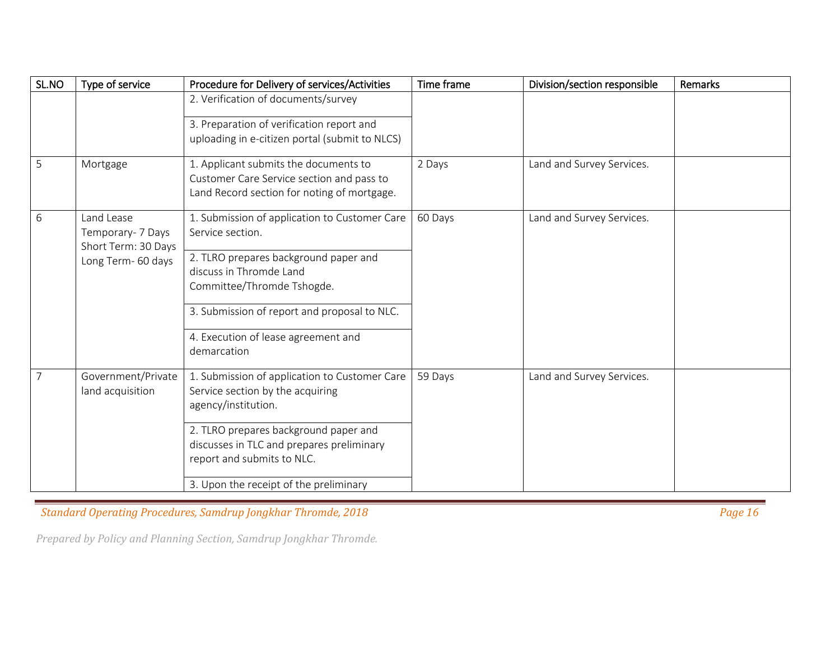| SL.NO          | Type of service                                                | Procedure for Delivery of services/Activities  | Time frame | Division/section responsible | Remarks |
|----------------|----------------------------------------------------------------|------------------------------------------------|------------|------------------------------|---------|
|                |                                                                | 2. Verification of documents/survey            |            |                              |         |
|                |                                                                | 3. Preparation of verification report and      |            |                              |         |
|                |                                                                | uploading in e-citizen portal (submit to NLCS) |            |                              |         |
| 5              | Mortgage                                                       | 1. Applicant submits the documents to          | 2 Days     | Land and Survey Services.    |         |
|                |                                                                | Customer Care Service section and pass to      |            |                              |         |
|                |                                                                | Land Record section for noting of mortgage.    |            |                              |         |
| 6              | Land Lease                                                     | 1. Submission of application to Customer Care  | 60 Days    | Land and Survey Services.    |         |
|                | Temporary- 7 Days<br>Short Term: 30 Days<br>Long Term- 60 days | Service section.                               |            |                              |         |
|                |                                                                | 2. TLRO prepares background paper and          |            |                              |         |
|                |                                                                | discuss in Thromde Land                        |            |                              |         |
|                |                                                                | Committee/Thromde Tshogde.                     |            |                              |         |
|                |                                                                | 3. Submission of report and proposal to NLC.   |            |                              |         |
|                |                                                                | 4. Execution of lease agreement and            |            |                              |         |
|                |                                                                | demarcation                                    |            |                              |         |
| $\overline{7}$ | Government/Private                                             | 1. Submission of application to Customer Care  | 59 Days    | Land and Survey Services.    |         |
|                | land acquisition                                               | Service section by the acquiring               |            |                              |         |
|                |                                                                | agency/institution.                            |            |                              |         |
|                |                                                                | 2. TLRO prepares background paper and          |            |                              |         |
|                |                                                                | discusses in TLC and prepares preliminary      |            |                              |         |
|                |                                                                | report and submits to NLC.                     |            |                              |         |
|                |                                                                | 3. Upon the receipt of the preliminary         |            |                              |         |

*Condard Operating Procedures, Samdrup Jongkhar Thromde, 2018* **Page 16 <b>Page 16 Page 16 Page 16 Page 16 Page 16**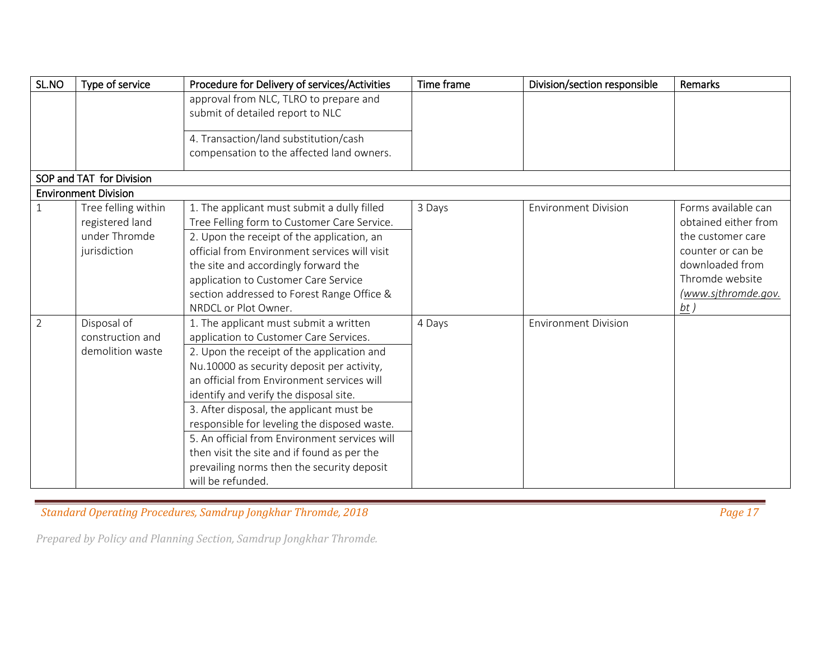| SL.NO          | Type of service             | Procedure for Delivery of services/Activities | Time frame | Division/section responsible | Remarks              |
|----------------|-----------------------------|-----------------------------------------------|------------|------------------------------|----------------------|
|                |                             | approval from NLC, TLRO to prepare and        |            |                              |                      |
|                |                             | submit of detailed report to NLC              |            |                              |                      |
|                |                             |                                               |            |                              |                      |
|                |                             | 4. Transaction/land substitution/cash         |            |                              |                      |
|                |                             | compensation to the affected land owners.     |            |                              |                      |
|                | SOP and TAT for Division    |                                               |            |                              |                      |
|                | <b>Environment Division</b> |                                               |            |                              |                      |
| $\mathbf{1}$   | Tree felling within         | 1. The applicant must submit a dully filled   | 3 Days     | <b>Environment Division</b>  | Forms available can  |
|                | registered land             | Tree Felling form to Customer Care Service.   |            |                              | obtained either from |
|                | under Thromde               | 2. Upon the receipt of the application, an    |            |                              | the customer care    |
|                | jurisdiction                | official from Environment services will visit |            |                              | counter or can be    |
|                |                             | the site and accordingly forward the          |            |                              | downloaded from      |
|                |                             | application to Customer Care Service          |            |                              | Thromde website      |
|                |                             | section addressed to Forest Range Office &    |            |                              | (www.sjthromde.gov.  |
|                |                             | NRDCL or Plot Owner.                          |            |                              | $\underline{bt}$ )   |
| $\overline{2}$ | Disposal of                 | 1. The applicant must submit a written        | 4 Days     | <b>Environment Division</b>  |                      |
|                | construction and            | application to Customer Care Services.        |            |                              |                      |
|                | demolition waste            | 2. Upon the receipt of the application and    |            |                              |                      |
|                |                             | Nu.10000 as security deposit per activity,    |            |                              |                      |
|                |                             | an official from Environment services will    |            |                              |                      |
|                |                             | identify and verify the disposal site.        |            |                              |                      |
|                |                             | 3. After disposal, the applicant must be      |            |                              |                      |
|                |                             | responsible for leveling the disposed waste.  |            |                              |                      |
|                |                             | 5. An official from Environment services will |            |                              |                      |
|                |                             | then visit the site and if found as per the   |            |                              |                      |
|                |                             | prevailing norms then the security deposit    |            |                              |                      |
|                |                             | will be refunded.                             |            |                              |                      |

*Condard Operating Procedures, Samdrup Jongkhar Thromde, 2018* **Page 17** *Page 17**Page 17**Page 17**Page 17**Page 17**Page 17**Page 17**Page 17**Page 17**Page 17**Page 17**Page 17**Page 17**Page 17**Page 17*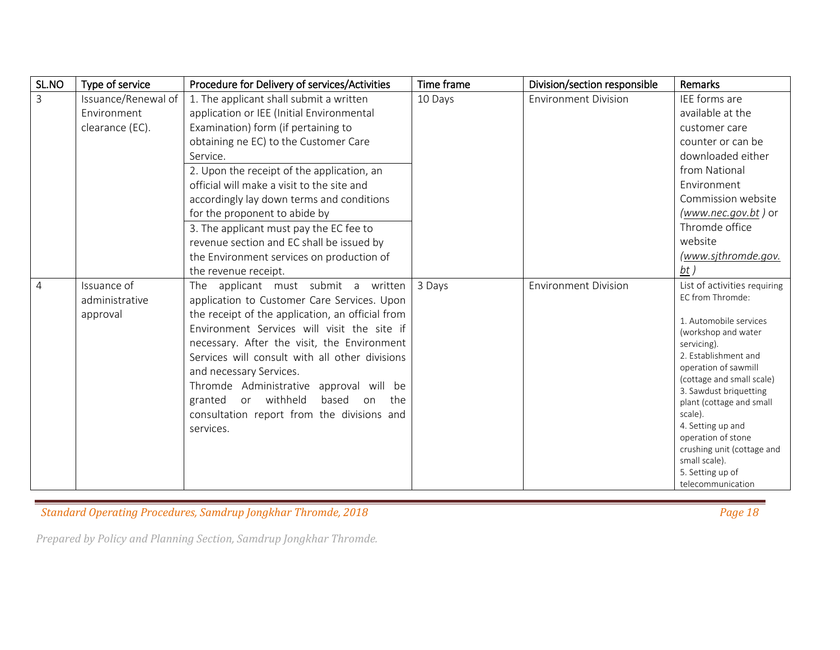| SL.NO          | Type of service                           | Procedure for Delivery of services/Activities                                                                                                                                                                                                                                                                                                                                                                                                                     | Time frame | Division/section responsible | Remarks                                                                                                                                                                                                                                                                                                                                                                                           |
|----------------|-------------------------------------------|-------------------------------------------------------------------------------------------------------------------------------------------------------------------------------------------------------------------------------------------------------------------------------------------------------------------------------------------------------------------------------------------------------------------------------------------------------------------|------------|------------------------------|---------------------------------------------------------------------------------------------------------------------------------------------------------------------------------------------------------------------------------------------------------------------------------------------------------------------------------------------------------------------------------------------------|
| $\mathbf{3}$   | Issuance/Renewal of                       | 1. The applicant shall submit a written                                                                                                                                                                                                                                                                                                                                                                                                                           | 10 Days    | <b>Environment Division</b>  | IEE forms are                                                                                                                                                                                                                                                                                                                                                                                     |
|                | Environment                               | application or IEE (Initial Environmental                                                                                                                                                                                                                                                                                                                                                                                                                         |            |                              | available at the                                                                                                                                                                                                                                                                                                                                                                                  |
|                | clearance (EC).                           | Examination) form (if pertaining to                                                                                                                                                                                                                                                                                                                                                                                                                               |            |                              | customer care                                                                                                                                                                                                                                                                                                                                                                                     |
|                |                                           | obtaining ne EC) to the Customer Care                                                                                                                                                                                                                                                                                                                                                                                                                             |            |                              | counter or can be                                                                                                                                                                                                                                                                                                                                                                                 |
|                |                                           | Service.                                                                                                                                                                                                                                                                                                                                                                                                                                                          |            |                              | downloaded either                                                                                                                                                                                                                                                                                                                                                                                 |
|                |                                           | 2. Upon the receipt of the application, an                                                                                                                                                                                                                                                                                                                                                                                                                        |            |                              | from National                                                                                                                                                                                                                                                                                                                                                                                     |
|                |                                           | official will make a visit to the site and                                                                                                                                                                                                                                                                                                                                                                                                                        |            |                              | Environment                                                                                                                                                                                                                                                                                                                                                                                       |
|                |                                           | accordingly lay down terms and conditions                                                                                                                                                                                                                                                                                                                                                                                                                         |            |                              | Commission website                                                                                                                                                                                                                                                                                                                                                                                |
|                |                                           | for the proponent to abide by                                                                                                                                                                                                                                                                                                                                                                                                                                     |            |                              | $(www. nec.gov. bt)$ or                                                                                                                                                                                                                                                                                                                                                                           |
|                |                                           | 3. The applicant must pay the EC fee to                                                                                                                                                                                                                                                                                                                                                                                                                           |            |                              | Thromde office                                                                                                                                                                                                                                                                                                                                                                                    |
|                |                                           | revenue section and EC shall be issued by                                                                                                                                                                                                                                                                                                                                                                                                                         |            |                              | website                                                                                                                                                                                                                                                                                                                                                                                           |
|                |                                           | the Environment services on production of                                                                                                                                                                                                                                                                                                                                                                                                                         |            |                              | (www.sjthromde.gov.                                                                                                                                                                                                                                                                                                                                                                               |
|                |                                           | the revenue receipt.                                                                                                                                                                                                                                                                                                                                                                                                                                              |            |                              | bt)                                                                                                                                                                                                                                                                                                                                                                                               |
| $\overline{4}$ | Issuance of<br>administrative<br>approval | The applicant must submit a written<br>application to Customer Care Services. Upon<br>the receipt of the application, an official from<br>Environment Services will visit the site if<br>necessary. After the visit, the Environment<br>Services will consult with all other divisions<br>and necessary Services.<br>Thromde Administrative approval will be<br>granted or withheld<br>based on<br>the<br>consultation report from the divisions and<br>services. | 3 Days     | <b>Environment Division</b>  | List of activities requiring<br>EC from Thromde:<br>1. Automobile services<br>(workshop and water<br>servicing).<br>2. Establishment and<br>operation of sawmill<br>(cottage and small scale)<br>3. Sawdust briquetting<br>plant (cottage and small<br>scale).<br>4. Setting up and<br>operation of stone<br>crushing unit (cottage and<br>small scale).<br>5. Setting up of<br>telecommunication |

*Condard Operating Procedures, Samdrup Jongkhar Thromde, 2018* **Page 18 <b>Page 18** Page 18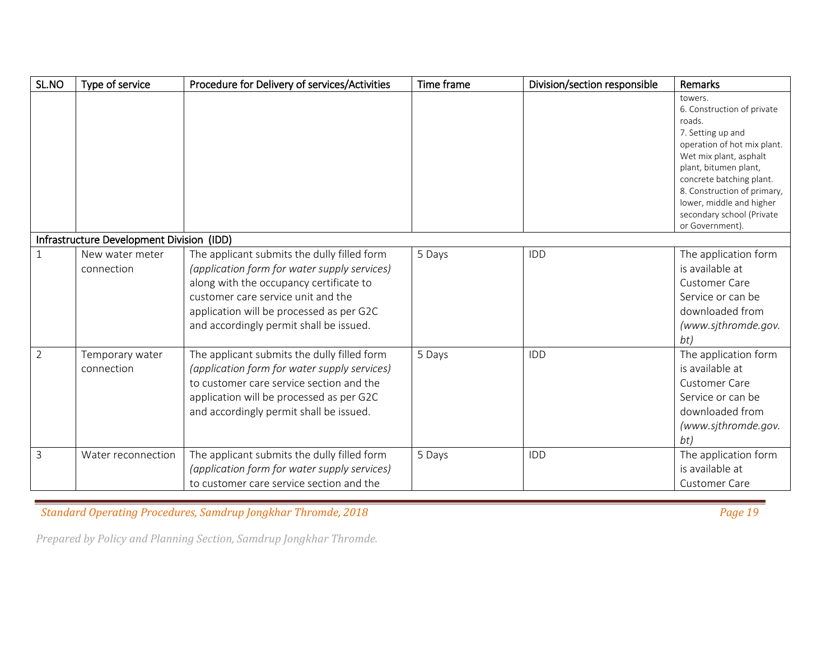| SL.NO          | Type of service                           | Procedure for Delivery of services/Activities                                                                                                                                                                                                                       | Time frame | Division/section responsible | Remarks                                                                                                                                                                                                                                                                                       |
|----------------|-------------------------------------------|---------------------------------------------------------------------------------------------------------------------------------------------------------------------------------------------------------------------------------------------------------------------|------------|------------------------------|-----------------------------------------------------------------------------------------------------------------------------------------------------------------------------------------------------------------------------------------------------------------------------------------------|
|                |                                           |                                                                                                                                                                                                                                                                     |            |                              | towers.<br>6. Construction of private<br>roads.<br>7. Setting up and<br>operation of hot mix plant.<br>Wet mix plant, asphalt<br>plant, bitumen plant,<br>concrete batching plant.<br>8. Construction of primary,<br>lower, middle and higher<br>secondary school (Private<br>or Government). |
|                | Infrastructure Development Division (IDD) |                                                                                                                                                                                                                                                                     |            |                              |                                                                                                                                                                                                                                                                                               |
|                | New water meter<br>connection             | The applicant submits the dully filled form<br>(application form for water supply services)<br>along with the occupancy certificate to<br>customer care service unit and the<br>application will be processed as per G2C<br>and accordingly permit shall be issued. | 5 Days     | IDD                          | The application form<br>is available at<br><b>Customer Care</b><br>Service or can be<br>downloaded from<br>(www.sjthromde.gov.<br>bt)                                                                                                                                                         |
| $\overline{2}$ | Temporary water<br>connection             | The applicant submits the dully filled form<br>(application form for water supply services)<br>to customer care service section and the<br>application will be processed as per G2C<br>and accordingly permit shall be issued.                                      | 5 Days     | IDD                          | The application form<br>is available at<br><b>Customer Care</b><br>Service or can be<br>downloaded from<br>(www.sjthromde.gov.<br>bt)                                                                                                                                                         |
| 3              | Water reconnection                        | The applicant submits the dully filled form<br>(application form for water supply services)<br>to customer care service section and the                                                                                                                             | 5 Days     | IDD                          | The application form<br>is available at<br><b>Customer Care</b>                                                                                                                                                                                                                               |

*Condard Operating Procedures, Samdrup Jongkhar Thromde, 2018* **Page 19 <b>Page 19** Page 19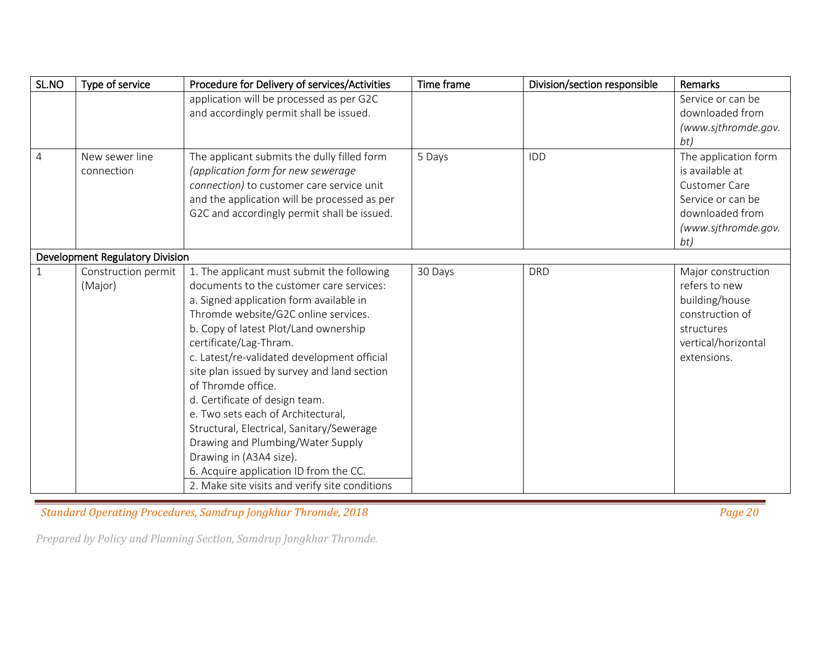| SL.NO          | Type of service                 | Procedure for Delivery of services/Activities  | Time frame | Division/section responsible | Remarks              |
|----------------|---------------------------------|------------------------------------------------|------------|------------------------------|----------------------|
|                |                                 | application will be processed as per G2C       |            |                              | Service or can be    |
|                |                                 | and accordingly permit shall be issued.        |            |                              | downloaded from      |
|                |                                 |                                                |            |                              | (www.sjthromde.gov.  |
|                |                                 |                                                |            |                              | bt)                  |
| $\overline{4}$ | New sewer line                  | The applicant submits the dully filled form    | 5 Days     | IDD                          | The application form |
|                | connection                      | (application form for new sewerage             |            |                              | is available at      |
|                |                                 | connection) to customer care service unit      |            |                              | <b>Customer Care</b> |
|                |                                 | and the application will be processed as per   |            |                              | Service or can be    |
|                |                                 | G2C and accordingly permit shall be issued.    |            |                              | downloaded from      |
|                |                                 |                                                |            |                              | (www.sjthromde.gov.  |
|                |                                 |                                                |            |                              | bt)                  |
|                | Development Regulatory Division |                                                |            |                              |                      |
|                | Construction permit             | 1. The applicant must submit the following     | 30 Days    | <b>DRD</b>                   | Major construction   |
|                | (Major)                         | documents to the customer care services:       |            |                              | refers to new        |
|                |                                 | a. Signed application form available in        |            |                              | building/house       |
|                |                                 | Thromde website/G2C online services.           |            |                              | construction of      |
|                |                                 | b. Copy of latest Plot/Land ownership          |            |                              | structures           |
|                |                                 | certificate/Lag-Thram.                         |            |                              | vertical/horizontal  |
|                |                                 | c. Latest/re-validated development official    |            |                              | extensions.          |
|                |                                 | site plan issued by survey and land section    |            |                              |                      |
|                |                                 | of Thromde office.                             |            |                              |                      |
|                |                                 | d. Certificate of design team.                 |            |                              |                      |
|                |                                 | e. Two sets each of Architectural,             |            |                              |                      |
|                |                                 | Structural, Electrical, Sanitary/Sewerage      |            |                              |                      |
|                |                                 | Drawing and Plumbing/Water Supply              |            |                              |                      |
|                |                                 | Drawing in (A3A4 size).                        |            |                              |                      |
|                |                                 | 6. Acquire application ID from the CC.         |            |                              |                      |
|                |                                 | 2. Make site visits and verify site conditions |            |                              |                      |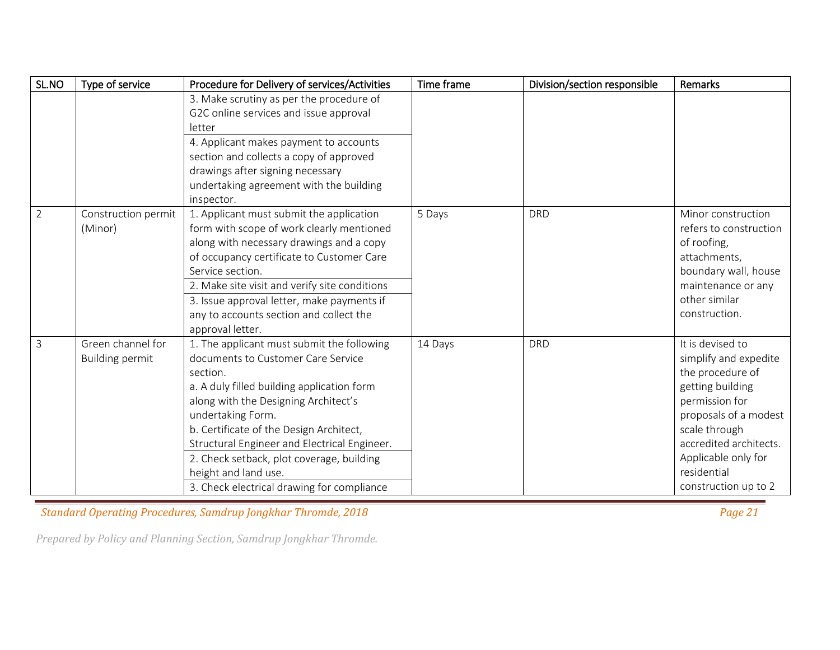| SL.NO          | Type of service                             | Procedure for Delivery of services/Activities                                                                                                                                                                                                                                                                                                                                                                         | Time frame | Division/section responsible | Remarks                                                                                                                                                                                                                               |
|----------------|---------------------------------------------|-----------------------------------------------------------------------------------------------------------------------------------------------------------------------------------------------------------------------------------------------------------------------------------------------------------------------------------------------------------------------------------------------------------------------|------------|------------------------------|---------------------------------------------------------------------------------------------------------------------------------------------------------------------------------------------------------------------------------------|
|                |                                             | 3. Make scrutiny as per the procedure of<br>G2C online services and issue approval<br>letter<br>4. Applicant makes payment to accounts<br>section and collects a copy of approved<br>drawings after signing necessary<br>undertaking agreement with the building<br>inspector.                                                                                                                                        |            |                              |                                                                                                                                                                                                                                       |
| $\overline{2}$ | Construction permit<br>(Minor)              | 1. Applicant must submit the application<br>form with scope of work clearly mentioned<br>along with necessary drawings and a copy<br>of occupancy certificate to Customer Care<br>Service section.<br>2. Make site visit and verify site conditions<br>3. Issue approval letter, make payments if<br>any to accounts section and collect the<br>approval letter.                                                      | 5 Days     | <b>DRD</b>                   | Minor construction<br>refers to construction<br>of roofing,<br>attachments,<br>boundary wall, house<br>maintenance or any<br>other similar<br>construction.                                                                           |
| $\overline{3}$ | Green channel for<br><b>Building permit</b> | 1. The applicant must submit the following<br>documents to Customer Care Service<br>section.<br>a. A duly filled building application form<br>along with the Designing Architect's<br>undertaking Form.<br>b. Certificate of the Design Architect,<br>Structural Engineer and Electrical Engineer.<br>2. Check setback, plot coverage, building<br>height and land use.<br>3. Check electrical drawing for compliance | 14 Days    | <b>DRD</b>                   | It is devised to<br>simplify and expedite<br>the procedure of<br>getting building<br>permission for<br>proposals of a modest<br>scale through<br>accredited architects.<br>Applicable only for<br>residential<br>construction up to 2 |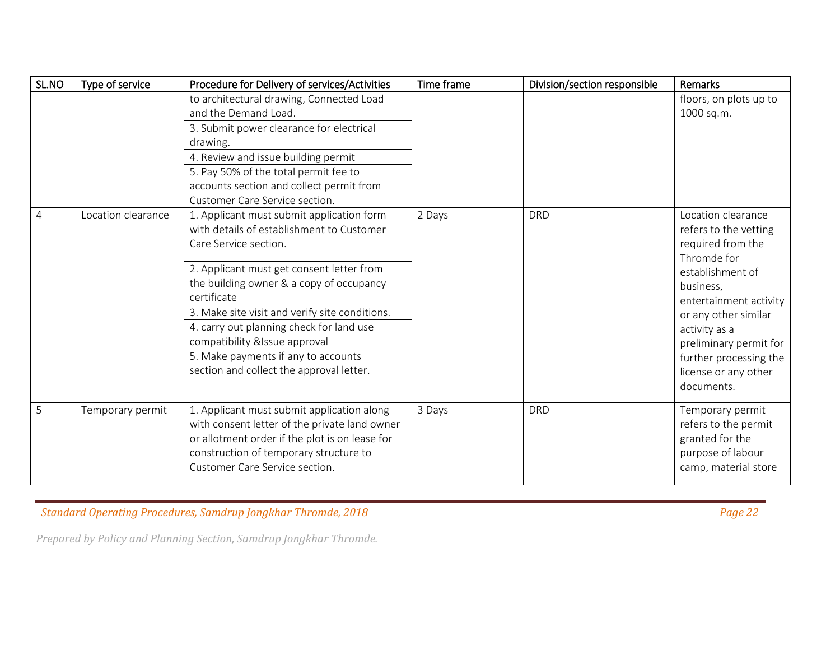| SL.NO | Type of service    | Procedure for Delivery of services/Activities                                                                                                                                                                                                                                                                                                                                                                                             | Time frame | Division/section responsible | Remarks                                                                                                                                                                                                                                                                       |
|-------|--------------------|-------------------------------------------------------------------------------------------------------------------------------------------------------------------------------------------------------------------------------------------------------------------------------------------------------------------------------------------------------------------------------------------------------------------------------------------|------------|------------------------------|-------------------------------------------------------------------------------------------------------------------------------------------------------------------------------------------------------------------------------------------------------------------------------|
|       |                    | to architectural drawing, Connected Load<br>and the Demand Load.<br>3. Submit power clearance for electrical<br>drawing.<br>4. Review and issue building permit<br>5. Pay 50% of the total permit fee to<br>accounts section and collect permit from<br>Customer Care Service section.                                                                                                                                                    |            |                              | floors, on plots up to<br>1000 sq.m.                                                                                                                                                                                                                                          |
| 4     | Location clearance | 1. Applicant must submit application form<br>with details of establishment to Customer<br>Care Service section.<br>2. Applicant must get consent letter from<br>the building owner & a copy of occupancy<br>certificate<br>3. Make site visit and verify site conditions.<br>4. carry out planning check for land use<br>compatibility &Issue approval<br>5. Make payments if any to accounts<br>section and collect the approval letter. | 2 Days     | <b>DRD</b>                   | Location clearance<br>refers to the vetting<br>required from the<br>Thromde for<br>establishment of<br>business,<br>entertainment activity<br>or any other similar<br>activity as a<br>preliminary permit for<br>further processing the<br>license or any other<br>documents. |
| 5     | Temporary permit   | 1. Applicant must submit application along<br>with consent letter of the private land owner<br>or allotment order if the plot is on lease for<br>construction of temporary structure to<br>Customer Care Service section.                                                                                                                                                                                                                 | 3 Days     | <b>DRD</b>                   | Temporary permit<br>refers to the permit<br>granted for the<br>purpose of labour<br>camp, material store                                                                                                                                                                      |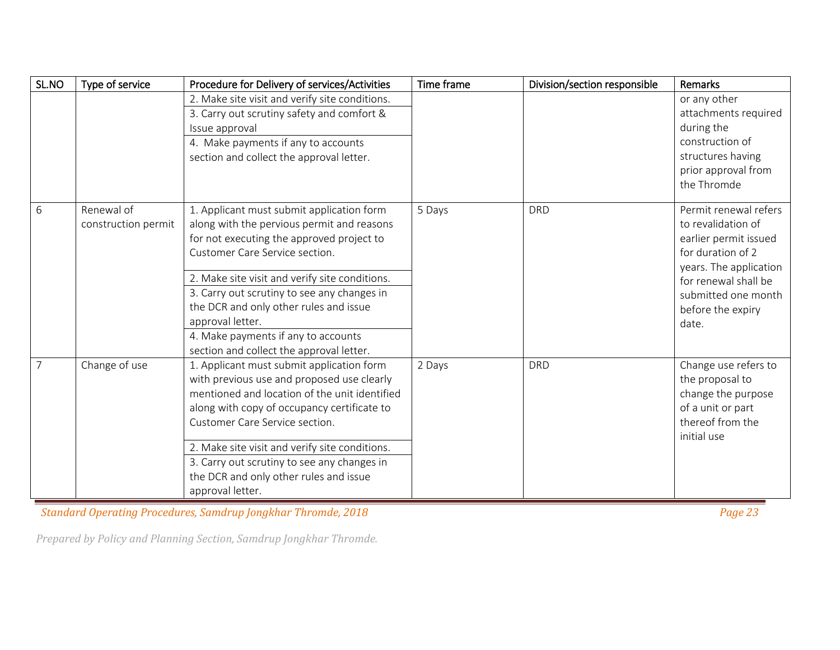| SL.NO          | Type of service     | Procedure for Delivery of services/Activities  | Time frame | Division/section responsible | Remarks                               |
|----------------|---------------------|------------------------------------------------|------------|------------------------------|---------------------------------------|
|                |                     | 2. Make site visit and verify site conditions. |            |                              | or any other                          |
|                |                     | 3. Carry out scrutiny safety and comfort &     |            |                              | attachments required                  |
|                |                     | Issue approval                                 |            |                              | during the                            |
|                |                     | 4. Make payments if any to accounts            |            |                              | construction of                       |
|                |                     | section and collect the approval letter.       |            |                              | structures having                     |
|                |                     |                                                |            |                              | prior approval from                   |
|                |                     |                                                |            |                              | the Thromde                           |
| 6              | Renewal of          | 1. Applicant must submit application form      | 5 Days     | <b>DRD</b>                   | Permit renewal refers                 |
|                | construction permit | along with the pervious permit and reasons     |            |                              | to revalidation of                    |
|                |                     | for not executing the approved project to      |            |                              | earlier permit issued                 |
|                |                     | Customer Care Service section.                 |            |                              | for duration of 2                     |
|                |                     |                                                |            |                              | years. The application                |
|                |                     | 2. Make site visit and verify site conditions. |            |                              | for renewal shall be                  |
|                |                     | 3. Carry out scrutiny to see any changes in    |            |                              | submitted one month                   |
|                |                     | the DCR and only other rules and issue         |            |                              | before the expiry                     |
|                |                     | approval letter.                               |            |                              | date.                                 |
|                |                     | 4. Make payments if any to accounts            |            |                              |                                       |
|                |                     | section and collect the approval letter.       |            |                              |                                       |
| $\overline{7}$ | Change of use       | 1. Applicant must submit application form      | 2 Days     | <b>DRD</b>                   | Change use refers to                  |
|                |                     | with previous use and proposed use clearly     |            |                              | the proposal to                       |
|                |                     | mentioned and location of the unit identified  |            |                              | change the purpose                    |
|                |                     | along with copy of occupancy certificate to    |            |                              | of a unit or part<br>thereof from the |
|                |                     | Customer Care Service section.                 |            |                              | initial use                           |
|                |                     | 2. Make site visit and verify site conditions. |            |                              |                                       |
|                |                     | 3. Carry out scrutiny to see any changes in    |            |                              |                                       |
|                |                     | the DCR and only other rules and issue         |            |                              |                                       |
|                |                     | approval letter.                               |            |                              |                                       |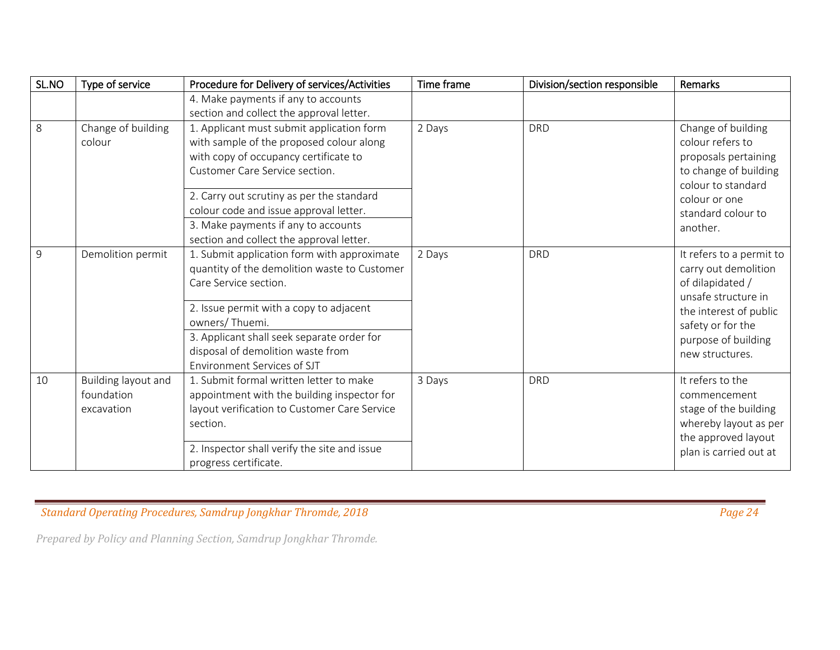| SL.NO | Type of service     | Procedure for Delivery of services/Activities | Time frame | Division/section responsible | Remarks                  |
|-------|---------------------|-----------------------------------------------|------------|------------------------------|--------------------------|
|       |                     | 4. Make payments if any to accounts           |            |                              |                          |
|       |                     | section and collect the approval letter.      |            |                              |                          |
| 8     | Change of building  | 1. Applicant must submit application form     | 2 Days     | <b>DRD</b>                   | Change of building       |
|       | colour              | with sample of the proposed colour along      |            |                              | colour refers to         |
|       |                     | with copy of occupancy certificate to         |            |                              | proposals pertaining     |
|       |                     | Customer Care Service section.                |            |                              | to change of building    |
|       |                     |                                               |            |                              | colour to standard       |
|       |                     | 2. Carry out scrutiny as per the standard     |            |                              | colour or one            |
|       |                     | colour code and issue approval letter.        |            |                              | standard colour to       |
|       |                     | 3. Make payments if any to accounts           |            |                              | another.                 |
|       |                     | section and collect the approval letter.      |            |                              |                          |
| 9     | Demolition permit   | 1. Submit application form with approximate   | 2 Days     | <b>DRD</b>                   | It refers to a permit to |
|       |                     | quantity of the demolition waste to Customer  |            |                              | carry out demolition     |
|       |                     | Care Service section.                         |            |                              | of dilapidated /         |
|       |                     |                                               |            |                              | unsafe structure in      |
|       |                     | 2. Issue permit with a copy to adjacent       |            |                              | the interest of public   |
|       |                     | owners/Thuemi.                                |            |                              | safety or for the        |
|       |                     | 3. Applicant shall seek separate order for    |            |                              | purpose of building      |
|       |                     | disposal of demolition waste from             |            |                              | new structures.          |
|       |                     | Environment Services of SJT                   |            |                              |                          |
| 10    | Building layout and | 1. Submit formal written letter to make       | 3 Days     | <b>DRD</b>                   | It refers to the         |
|       | foundation          | appointment with the building inspector for   |            |                              | commencement             |
|       | excavation          | layout verification to Customer Care Service  |            |                              | stage of the building    |
|       |                     | section.                                      |            |                              | whereby layout as per    |
|       |                     |                                               |            |                              | the approved layout      |
|       |                     | 2. Inspector shall verify the site and issue  |            |                              | plan is carried out at   |
|       |                     | progress certificate.                         |            |                              |                          |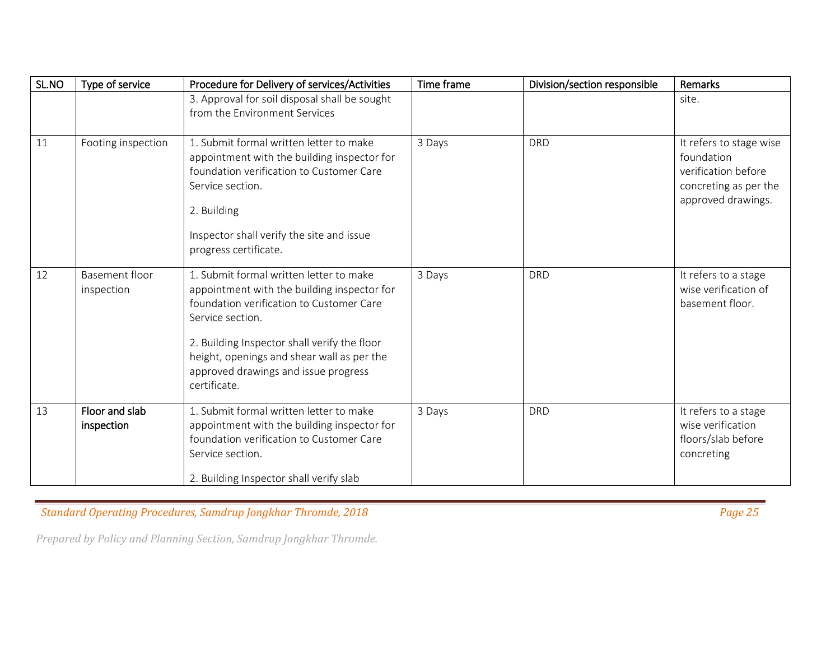| SL.NO | Type of service              | Procedure for Delivery of services/Activities                                                                                                                                                                                                                                                                | Time frame | Division/section responsible | Remarks                                                                                                     |
|-------|------------------------------|--------------------------------------------------------------------------------------------------------------------------------------------------------------------------------------------------------------------------------------------------------------------------------------------------------------|------------|------------------------------|-------------------------------------------------------------------------------------------------------------|
|       |                              | 3. Approval for soil disposal shall be sought<br>from the Environment Services                                                                                                                                                                                                                               |            |                              | site.                                                                                                       |
| 11    | Footing inspection           | 1. Submit formal written letter to make<br>appointment with the building inspector for<br>foundation verification to Customer Care<br>Service section.<br>2. Building<br>Inspector shall verify the site and issue<br>progress certificate.                                                                  | 3 Days     | <b>DRD</b>                   | It refers to stage wise<br>foundation<br>verification before<br>concreting as per the<br>approved drawings. |
| 12    | Basement floor<br>inspection | 1. Submit formal written letter to make<br>appointment with the building inspector for<br>foundation verification to Customer Care<br>Service section.<br>2. Building Inspector shall verify the floor<br>height, openings and shear wall as per the<br>approved drawings and issue progress<br>certificate. | 3 Days     | <b>DRD</b>                   | It refers to a stage<br>wise verification of<br>basement floor.                                             |
| 13    | Floor and slab<br>inspection | 1. Submit formal written letter to make<br>appointment with the building inspector for<br>foundation verification to Customer Care<br>Service section.<br>2. Building Inspector shall verify slab                                                                                                            | 3 Days     | <b>DRD</b>                   | It refers to a stage<br>wise verification<br>floors/slab before<br>concreting                               |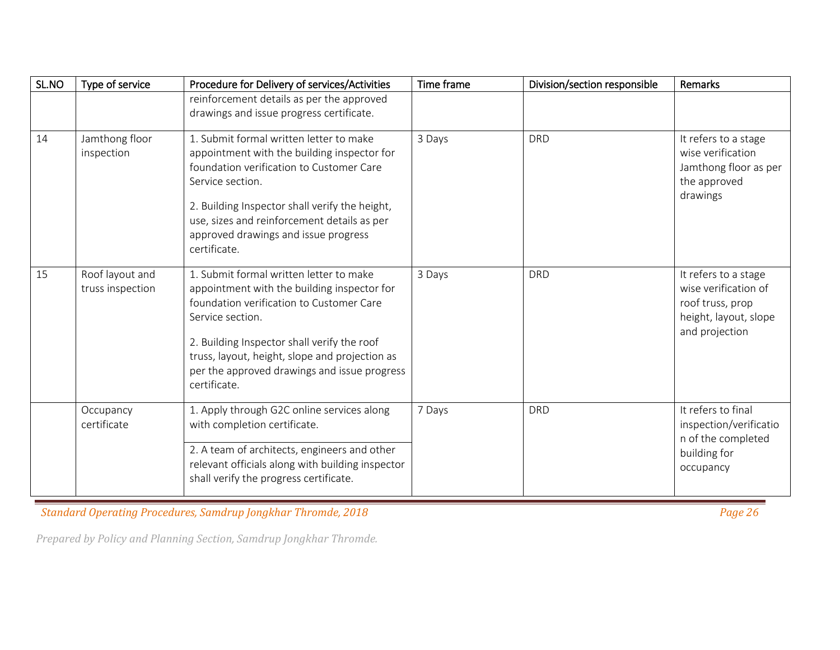| SL.NO | Type of service                     | Procedure for Delivery of services/Activities                                                                                                                                                                                                                                                                           | Time frame | Division/section responsible | Remarks                                                                                                     |
|-------|-------------------------------------|-------------------------------------------------------------------------------------------------------------------------------------------------------------------------------------------------------------------------------------------------------------------------------------------------------------------------|------------|------------------------------|-------------------------------------------------------------------------------------------------------------|
|       |                                     | reinforcement details as per the approved<br>drawings and issue progress certificate.                                                                                                                                                                                                                                   |            |                              |                                                                                                             |
| 14    | Jamthong floor<br>inspection        | 1. Submit formal written letter to make<br>appointment with the building inspector for<br>foundation verification to Customer Care<br>Service section.<br>2. Building Inspector shall verify the height,<br>use, sizes and reinforcement details as per<br>approved drawings and issue progress<br>certificate.         | 3 Days     | <b>DRD</b>                   | It refers to a stage<br>wise verification<br>Jamthong floor as per<br>the approved<br>drawings              |
| 15    | Roof layout and<br>truss inspection | 1. Submit formal written letter to make<br>appointment with the building inspector for<br>foundation verification to Customer Care<br>Service section.<br>2. Building Inspector shall verify the roof<br>truss, layout, height, slope and projection as<br>per the approved drawings and issue progress<br>certificate. | 3 Days     | <b>DRD</b>                   | It refers to a stage<br>wise verification of<br>roof truss, prop<br>height, layout, slope<br>and projection |
|       | Occupancy<br>certificate            | 1. Apply through G2C online services along<br>with completion certificate.<br>2. A team of architects, engineers and other<br>relevant officials along with building inspector<br>shall verify the progress certificate.                                                                                                | 7 Days     | <b>DRD</b>                   | It refers to final<br>inspection/verificatio<br>n of the completed<br>building for<br>occupancy             |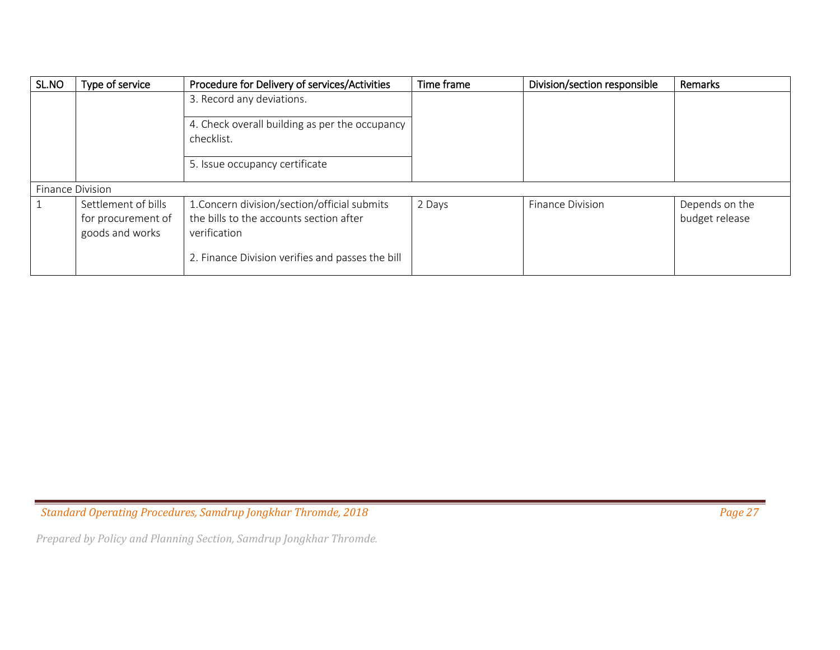| SL.NO                   | Type of service                                              | Procedure for Delivery of services/Activities                                                           | Time frame | Division/section responsible | Remarks                          |
|-------------------------|--------------------------------------------------------------|---------------------------------------------------------------------------------------------------------|------------|------------------------------|----------------------------------|
|                         |                                                              | 3. Record any deviations.                                                                               |            |                              |                                  |
|                         |                                                              | 4. Check overall building as per the occupancy<br>checklist.                                            |            |                              |                                  |
|                         |                                                              | 5. Issue occupancy certificate                                                                          |            |                              |                                  |
| <b>Finance Division</b> |                                                              |                                                                                                         |            |                              |                                  |
| -1                      | Settlement of bills<br>for procurement of<br>goods and works | 1. Concern division/section/official submits<br>the bills to the accounts section after<br>verification | 2 Days     | <b>Finance Division</b>      | Depends on the<br>budget release |
|                         |                                                              | 2. Finance Division verifies and passes the bill                                                        |            |                              |                                  |